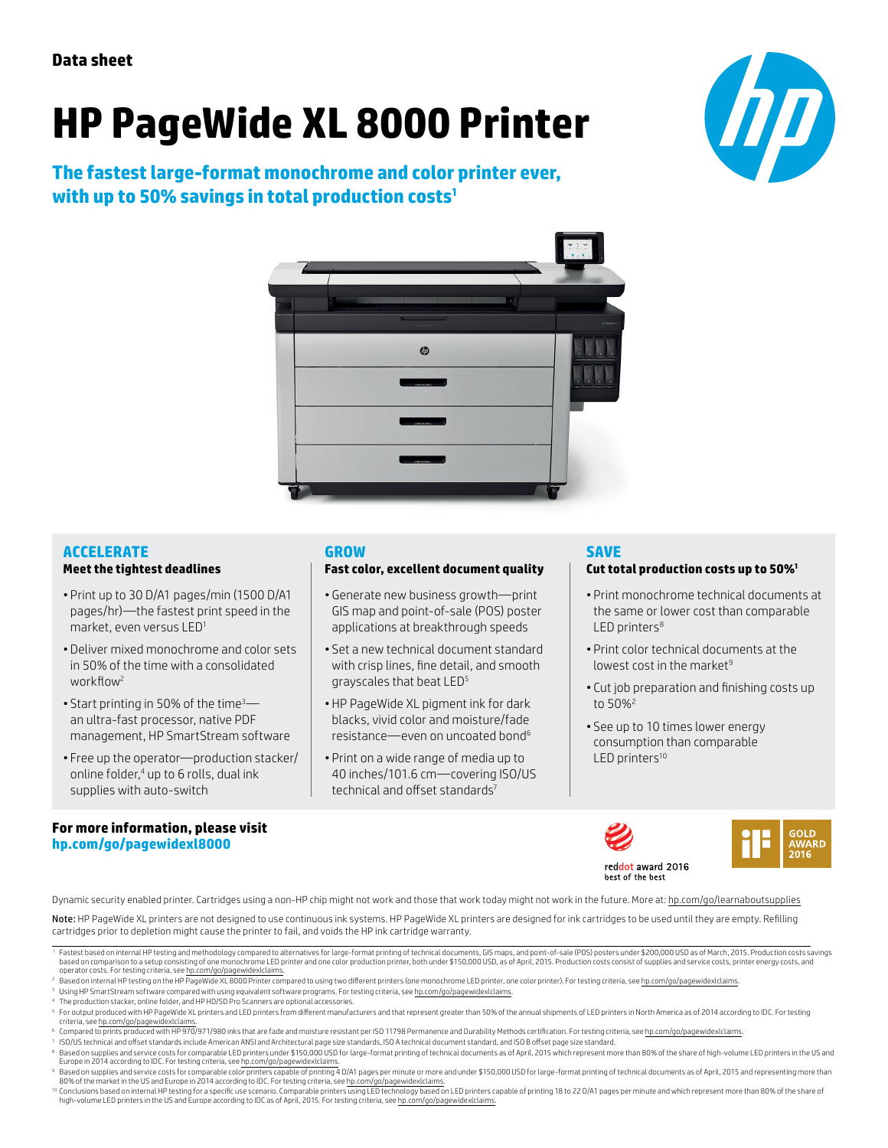# **HP PageWide XL 8000 Printer**

**The fastest large-format monochrome and color printer ever, with up to 50% savings in total production costs1**





#### **ACCELERATE**

#### **Meet the tightest deadlines**

- Print up to 30 D/A1 pages/min (1500 D/A1 pages/hr)—the fastest print speed in the market, even versus LED1
- Deliver mixed monochrome and color sets in 50% of the time with a consolidated workflow<sup>2</sup>
- Start printing in 50% of the time<sup>3</sup> an ultra-fast processor, native PDF management, HP SmartStream software
- Free up the operator—production stacker/ online folder,<sup>4</sup> up to 6 rolls, dual ink supplies with auto-switch

#### **For more information, please visit [hp.com/go/pagewidexl8000](http://www.hp.com/go/pagewidexl8000)**

### **GROW**

#### **Fast color, excellent document quality**

- Generate new business growth—print GIS map and point-of-sale (POS) poster applications at breakthrough speeds
- Set a new technical document standard with crisp lines, fine detail, and smooth grayscales that beat LED5
- HP PageWide XL pigment ink for dark blacks, vivid color and moisture/fade resistance—even on uncoated bond6
- Print on a wide range of media up to 40 inches/101.6 cm—covering ISO/US technical and offset standards<sup>7</sup>

## **SAVE**

#### **Cut total production costs up to 50%1**

- Print monochrome technical documents at the same or lower cost than comparable LED printers $8$
- Print color technical documents at the lowest cost in the market $9$
- Cut job preparation and finishing costs up to 50%2
- See up to 10 times lower energy consumption than comparable LED printers<sup>10</sup>





Dynamic security enabled printer. Cartridges using a non-HP chip might not work and those that work today might not work in the future. More at: [hp.com/go/learnaboutsupplies](http://hp.com/go/learnaboutsupplies)

Note: HP PageWide XL printers are not designed to use continuous ink systems. HP PageWide XL printers are designed for ink cartridges to be used until they are empty. Refilling cartridges prior to depletion might cause the printer to fail, and voids the HP ink cartridge warranty.

- <sup>4</sup> The production stacker, online folder, and HP HD/SD Pro Scanners are optional accessories.
- 5 For output produced with HP PageWide XL printers and LED printers from different manufacturers and that represent greater than 50% of the annual shipments of LED printers in North America as of 2014 according to IDC. For criteria, see [hp.com/go/pagewidexlclaims.](http://www.hp.com/go/pagewidexlclaims)
- © Compared to prints produced with HP 970/971/980 inks that are fade and moisture resistant per ISO 11798 Permanence and Durability Methods certification. For testing criteria, see <u>hp.com/go/pagewidexIclaims.</u><br><sup>7</sup> ISO/US
- 

80% of the market in the US and Europe in 2014 according to IDC. For testing criteria, see h<u>p.com/go/pagewidexlclaims</u>.<br><sup>10</sup> Conclusions based on internal HP testing for a specific use scenario. Comparable printers using

<sup>&#</sup>x27;Fastest based on internal HP testing and methodology compared to alternatives for large-format printing of technical documents, GIS maps, and point-of-sale (POS) posters under \$200,000 USD as of March, 2015. Production c operator costs. For testing criteria, see [hp.com/go/pagewidexlclaims](http://www.hp.com/go/pagewidexlclaims).

<sup>&</sup>lt;sup>2</sup> Based on internal HP testing on the HP PageWide XL 8000 Printer compared to using two different printers (one monochrome LED printer, one color printer). For testing criteria, see [hp.com/go/pagewidexlclaims](http://www.hp.com/go/pagewidexlclaims).

<sup>&</sup>lt;sup>3</sup> Using HP SmartStream software compared with using equivalent software programs. For testing criteria, see [hp.com/go/pagewidexlclaims.](http://www.hp.com/go/pagewidexlclaims)

<sup>&</sup>lt;sup>8</sup> Based on supplies and service costs for comparable LED printers under \$150,000 USD for large-format printing of technical documents as of April, 2015 which represent more than 80% of the share of high-volume LED printe Europe in 2014 according to IDC. For testing criteria, see [hp.com/go/pagewidexlclaims](http://www.hp.com/go/pagewidexlclaims). Based on supplies and service costs for comparable color printers capable of printing 4 D/A1 pages per minute or more and under \$150,000 USD for large-format printing of technical documents as of April, 2015 and representi

high-volume LED printers in the US and Europe according to IDC as of April, 2015. For testing criteria, see hp.com/go/page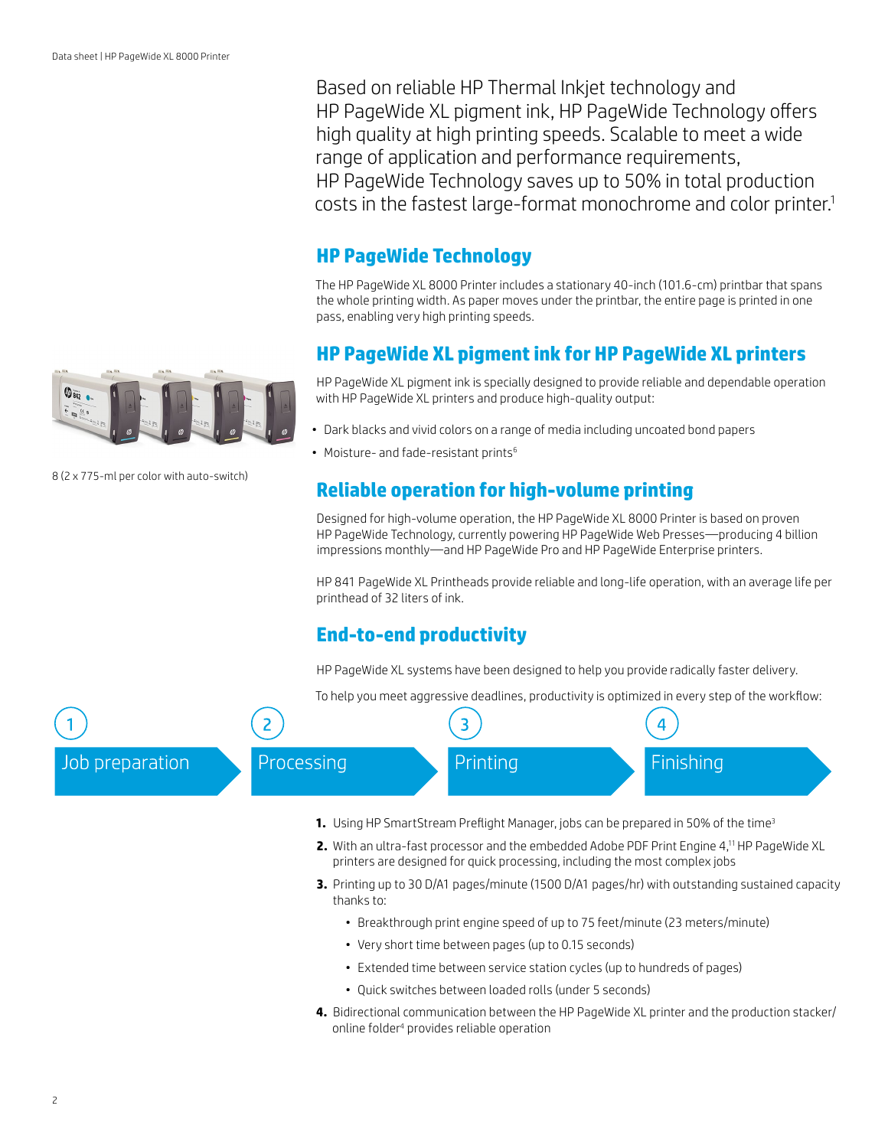Based on reliable HP Thermal Inkjet technology and HP PageWide XL pigment ink, HP PageWide Technology offers high quality at high printing speeds. Scalable to meet a wide range of application and performance requirements, HP PageWide Technology saves up to 50% in total production costs in the fastest large-format monochrome and color printer.1

# **HP PageWide Technology**

The HP PageWide XL 8000 Printer includes a stationary 40-inch (101.6-cm) printbar that spans the whole printing width. As paper moves under the printbar, the entire page is printed in one pass, enabling very high printing speeds.

# **HP PageWide XL pigment ink for HP PageWide XL printers**

HP PageWide XL pigment ink is specially designed to provide reliable and dependable operation with HP PageWide XL printers and produce high-quality output:

- Dark blacks and vivid colors on a range of media including uncoated bond papers
- Moisture- and fade-resistant prints<sup>6</sup>

# **Reliable operation for high-volume printing**

Designed for high-volume operation, the HP PageWide XL 8000 Printer is based on proven HP PageWide Technology, currently powering HP PageWide Web Presses—producing 4 billion impressions monthly—and HP PageWide Pro and HP PageWide Enterprise printers.

HP 841 PageWide XL Printheads provide reliable and long-life operation, with an average life per printhead of 32 liters of ink.

# **End-to-end productivity**

HP PageWide XL systems have been designed to help you provide radically faster delivery.

To help you meet aggressive deadlines, productivity is optimized in every step of the workflow:



- **1.** Using HP SmartStream Preflight Manager, jobs can be prepared in 50% of the time<sup>3</sup>
- **2.** With an ultra-fast processor and the embedded Adobe PDF Print Engine 4,<sup>11</sup> HP PageWide XL printers are designed for quick processing, including the most complex jobs
- **3.** Printing up to 30 D/A1 pages/minute (1500 D/A1 pages/hr) with outstanding sustained capacity thanks to:
	- Breakthrough print engine speed of up to 75 feet/minute (23 meters/minute)
	- Very short time between pages (up to 0.15 seconds)
	- Extended time between service station cycles (up to hundreds of pages)
	- Quick switches between loaded rolls (under 5 seconds)
- **4.** Bidirectional communication between the HP PageWide XL printer and the production stacker/ online folder4 provides reliable operation



8 (2 x 775-ml per color with auto-switch)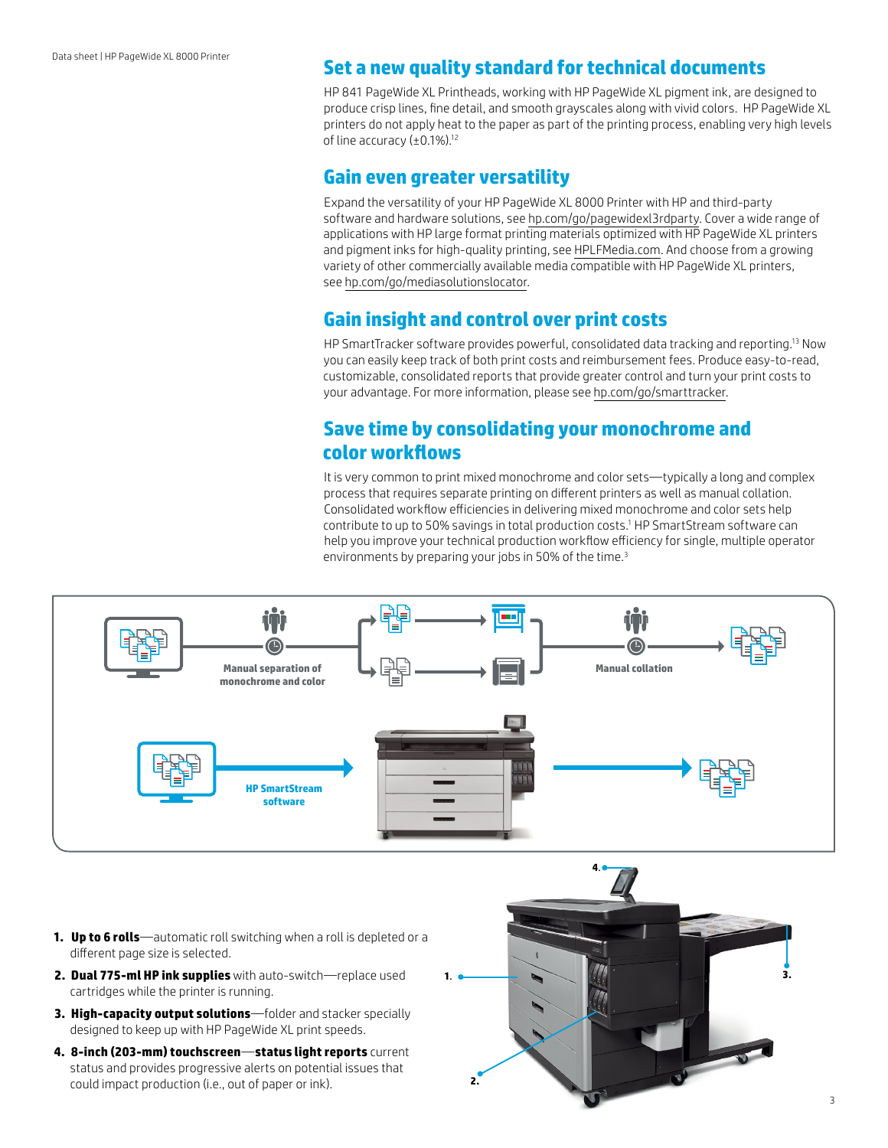# **Set a new quality standard for technical documents**

HP 841 PageWide XL Printheads, working with HP PageWide XL pigment ink, are designed to produce crisp lines, fine detail, and smooth grayscales along with vivid colors. HP PageWide XL printers do not apply heat to the paper as part of the printing process, enabling very high levels of line accuracy (±0.1%).12

## **Gain even greater versatility**

Expand the versatility of your HP PageWide XL 8000 Printer with HP and third-party software and hardware solutions, see [hp.com/go/pagewidexl3rdparty](http://hp.com/go/pagewidexl3rdparty). Cover a wide range of applications with HP large format printing materials optimized with HP PageWide XL printers and pigment inks for high-quality printing, see [HPLFMedia.com.](http://HPLFMedia.com) And choose from a growing variety of other commercially available media compatible with HP PageWide XL printers, see [hp.com/go/mediasolutionslocator](http://hp.com/go/mediasolutionslocator).

# **Gain insight and control over print costs**

HP SmartTracker software provides powerful, consolidated data tracking and reporting.13 Now you can easily keep track of both print costs and reimbursement fees. Produce easy-to-read, customizable, consolidated reports that provide greater control and turn your print costs to your advantage. For more information, please see [hp.com/go/smarttracker](http://hp.com/go/smarttracker).

# **Save time by consolidating your monochrome and color workflows**

It is very common to print mixed monochrome and color sets—typically a long and complex process that requires separate printing on different printers as well as manual collation. Consolidated workflow efficiencies in delivering mixed monochrome and color sets help contribute to up to 50% savings in total production costs.1 HP SmartStream software can help you improve your technical production workflow efficiency for single, multiple operator environments by preparing your jobs in 50% of the time.<sup>3</sup>



- **1. Up to 6 rolls**—automatic roll switching when a roll is depleted or a different page size is selected.
- **2. Dual 775-ml HP ink supplies** with auto-switch—replace used cartridges while the printer is running.
- **3. High-capacity output solutions**—folder and stacker specially designed to keep up with HP PageWide XL print speeds.
- **4. 8-inch (203-mm) touchscreen**—**status light reports** current status and provides progressive alerts on potential issues that could impact production (i.e., out of paper or ink).